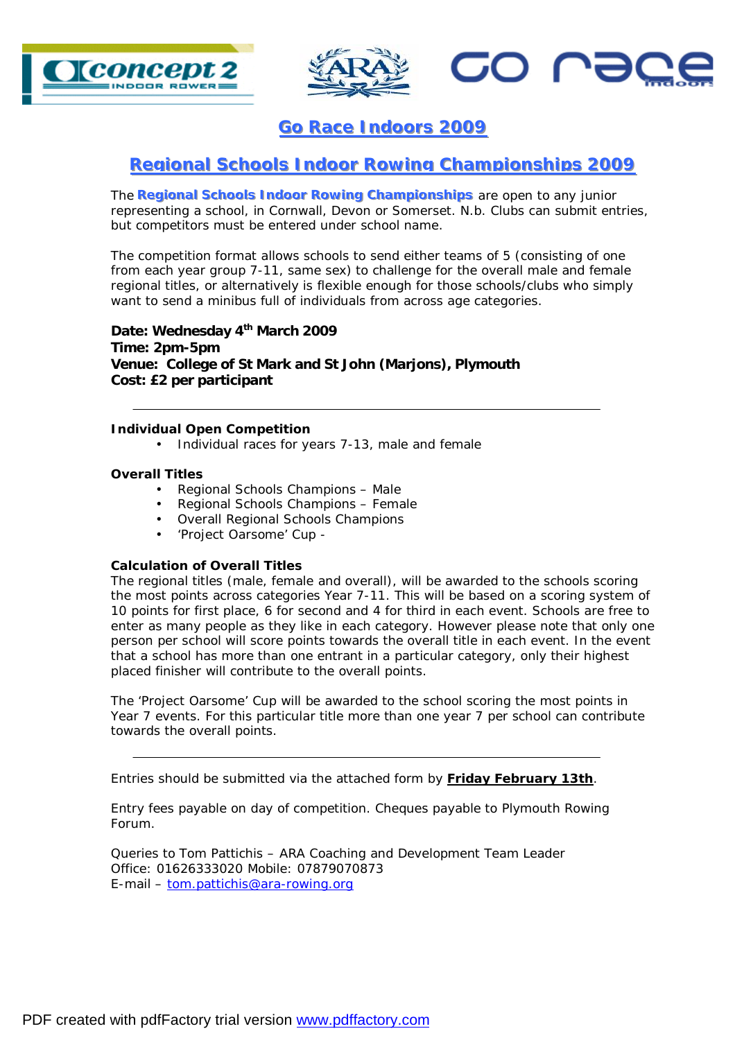



**20 US** 

**Go Race Indoors 2009** 

## **Regional Schools Indoor Rowing Championships 2009**

**The Regional Schools Indoor Rowing Championships** are open to any junior representing a school, in Cornwall, Devon or Somerset. N.b. Clubs can submit entries, but competitors must be entered under school name.

The competition format allows schools to send either teams of 5 (consisting of one from each year group 7-11, same sex) to challenge for the overall male and female regional titles, or alternatively is flexible enough for those schools/clubs who simply want to send a minibus full of individuals from across age categories.

**Date: Wednesday 4th March 2009 Time: 2pm-5pm Venue: College of St Mark and St John (Marjons), Plymouth Cost: £2 per participant** 

## **Individual Open Competition**

• Individual races for years 7-13, male and female

## **Overall Titles**

- Regional Schools Champions Male
- Regional Schools Champions Female
- Overall Regional Schools Champions
- 'Project Oarsome' Cup -

## **Calculation of Overall Titles**

The regional titles (male, female and overall), will be awarded to the schools scoring the most points across categories Year 7-11. This will be based on a scoring system of 10 points for first place, 6 for second and 4 for third in each event. Schools are free to enter as many people as they like in each category. However please note that only one person per school will score points towards the overall title in each event. In the event that a school has more than one entrant in a particular category, only their highest placed finisher will contribute to the overall points.

The 'Project Oarsome' Cup will be awarded to the school scoring the most points in Year 7 events. For this particular title more than one year 7 per school can contribute towards the overall points.

Entries should be submitted via the attached form by **Friday February 13th**.

Entry fees payable on day of competition. Cheques payable to Plymouth Rowing Forum.

Queries to Tom Pattichis – ARA Coaching and Development Team Leader Office: 01626333020 Mobile: 07879070873 E-mail – [tom.pattichis@ara-rowing.org](mailto:tom.pattichis@ara-rowing.org)